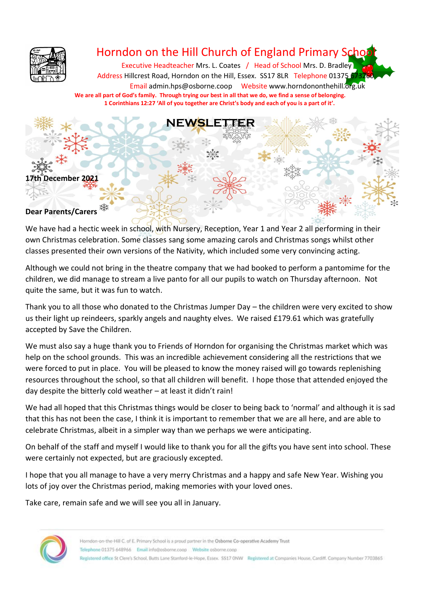

# Horndon on the Hill Church of England Primary Scho

Executive Headteacher Mrs. L. Coates / Head of School Mrs. D. Bradley Address Hillcrest Road, Horndon on the Hill, Essex. SS17 8LR Telephone 01375 Email admin.hps@osborne.coop Websit[e www.horndononthehill.org.uk](http://www.horndononthehill.org.uk/) **We are all part of God's family. Through trying our best in all that we do, we find a sense of belonging. 1 Corinthians 12:27 'All of you together are Christ's body and each of you is a part of it'.**



We have had a hectic week in school, with Nursery, Reception, Year 1 and Year 2 all performing in their own Christmas celebration. Some classes sang some amazing carols and Christmas songs whilst other classes presented their own versions of the Nativity, which included some very convincing acting.

Although we could not bring in the theatre company that we had booked to perform a pantomime for the children, we did manage to stream a live panto for all our pupils to watch on Thursday afternoon. Not quite the same, but it was fun to watch.

Thank you to all those who donated to the Christmas Jumper Day – the children were very excited to show us their light up reindeers, sparkly angels and naughty elves. We raised £179.61 which was gratefully accepted by Save the Children.

We must also say a huge thank you to Friends of Horndon for organising the Christmas market which was help on the school grounds. This was an incredible achievement considering all the restrictions that we were forced to put in place. You will be pleased to know the money raised will go towards replenishing resources throughout the school, so that all children will benefit. I hope those that attended enjoyed the day despite the bitterly cold weather – at least it didn't rain!

We had all hoped that this Christmas things would be closer to being back to 'normal' and although it is sad that this has not been the case, I think it is important to remember that we are all here, and are able to celebrate Christmas, albeit in a simpler way than we perhaps we were anticipating.

On behalf of the staff and myself I would like to thank you for all the gifts you have sent into school. These were certainly not expected, but are graciously excepted.

I hope that you all manage to have a very merry Christmas and a happy and safe New Year. Wishing you lots of joy over the Christmas period, making memories with your loved ones.

Take care, remain safe and we will see you all in January.

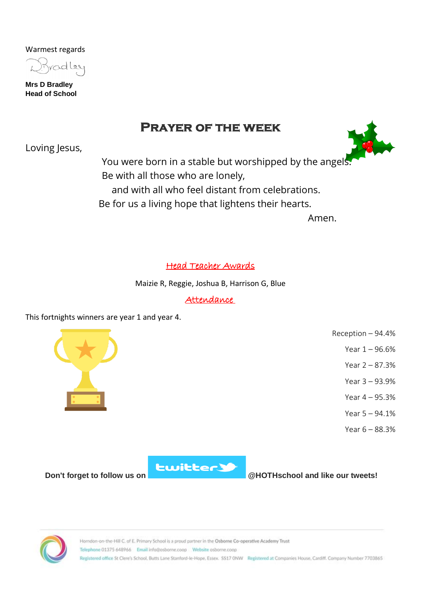Warmest regards



**Mrs D Bradley Head of School**

# **Prayer of the week**

Loving Jesus,



You were born in a stable but worshipped by the angels Be with all those who are lonely, and with all who feel distant from celebrations. Be for us a living hope that lightens their hearts.

Amen.

# Head Teacher Awards

Maizie R, Reggie, Joshua B, Harrison G, Blue

# Attendance

This fortnights winners are year 1 and year 4.



Reception – 94.4%

Year 1 – 96.6%

Year 2 – 87.3%

Year 3 – 93.9%

Year 4 – 95.3%

Year 5 – 94.1%

Year 6 – 88.3%



# **Don't forget to follow us on Don't forget to follow us on @HOTHschool** and like our tweets!

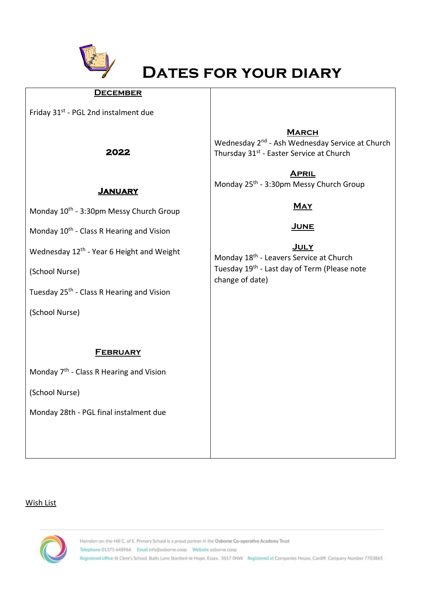

# **Dates for your diary**

#### **December**

Friday 31<sup>st</sup> - PGL 2nd instalment due

**2022** 

#### **March**

Wednesday 2<sup>nd</sup> - Ash Wednesday Service at Church Thursday 31<sup>st</sup> - Easter Service at Church

**April** Monday 25<sup>th</sup> - 3:30pm Messy Church Group

# **May**

# **June**

**July** Monday 18<sup>th</sup> - Leavers Service at Church Tuesday 19<sup>th</sup> - Last day of Term (Please note change of date)

### **January**

Monday 10<sup>th</sup> - 3:30pm Messy Church Group

Monday 10<sup>th</sup> - Class R Hearing and Vision

Wednesday 12<sup>th</sup> - Year 6 Height and Weight

(School Nurse)

Tuesday 25<sup>th</sup> - Class R Hearing and Vision

(School Nurse)

#### **February**

Monday 7<sup>th</sup> - Class R Hearing and Vision

(School Nurse)

Monday 28th - PGL final instalment due

#### Wish List

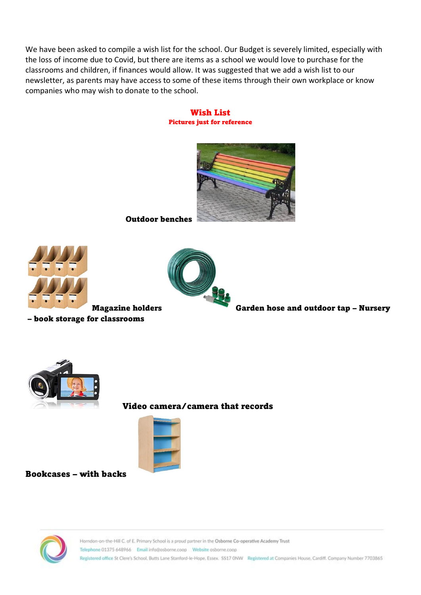We have been asked to compile a wish list for the school. Our Budget is severely limited, especially with the loss of income due to Covid, but there are items as a school we would love to purchase for the classrooms and children, if finances would allow. It was suggested that we add a wish list to our newsletter, as parents may have access to some of these items through their own workplace or know companies who may wish to donate to the school.

#### Wish List Pictures just for reference



Outdoor benches





– book storage for classrooms

Magazine holders Garden hose and outdoor tap – Nursery



#### Video camera/camera that records



Bookcases – with backs

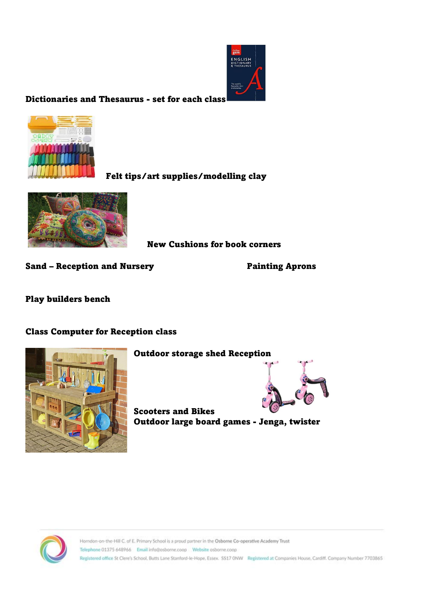

Dictionaries and Thesaurus - set for each class



Felt tips/art supplies/modelling clay



New Cushions for book corners

Sand – Reception and Nursery **Painting Aprons** 

Play builders bench

Class Computer for Reception class



# Outdoor storage shed Reception

Scooters and Bikes Outdoor large board games - Jenga, twister



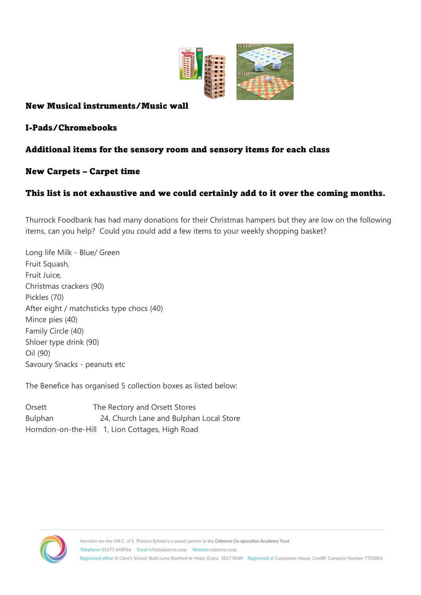

# New Musical instruments/Music wall

I-Pads/Chromebooks

# Additional items for the sensory room and sensory items for each class

# New Carpets – Carpet time

# This list is not exhaustive and we could certainly add to it over the coming months.

Thurrock Foodbank has had many donations for their Christmas hampers but they are low on the following items, can you help? Could you could add a few items to your weekly shopping basket?

Long life Milk - Blue/ Green Fruit Squash, Fruit Juice, Christmas crackers (90) Pickles (70) After eight / matchsticks type chocs (40) Mince pies (40) Family Circle (40) Shloer type drink (90) Oil (90) Savoury Snacks - peanuts etc

The Benefice has organised 5 collection boxes as listed below:

Orsett The Rectory and Orsett Stores Bulphan 24, Church Lane and Bulphan Local Store Horndon-on-the-Hill 1, Lion Cottages, High Road